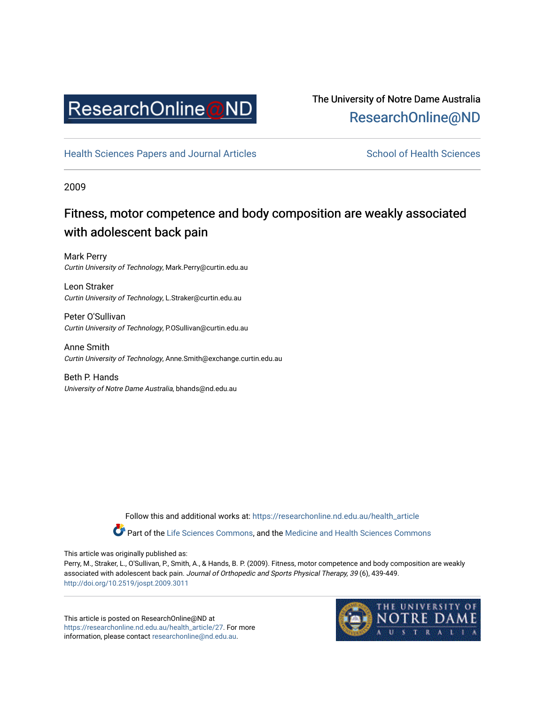

# The University of Notre Dame Australia [ResearchOnline@ND](https://researchonline.nd.edu.au/)

[Health Sciences Papers and Journal Articles](https://researchonline.nd.edu.au/health_article) School of Health Sciences

2009

# Fitness, motor competence and body composition are weakly associated with adolescent back pain

Mark Perry Curtin University of Technology, Mark.Perry@curtin.edu.au

Leon Straker Curtin University of Technology, L.Straker@curtin.edu.au

Peter O'Sullivan Curtin University of Technology, P.OSullivan@curtin.edu.au

Anne Smith Curtin University of Technology, Anne.Smith@exchange.curtin.edu.au

Beth P. Hands University of Notre Dame Australia, bhands@nd.edu.au

> Follow this and additional works at: [https://researchonline.nd.edu.au/health\\_article](https://researchonline.nd.edu.au/health_article?utm_source=researchonline.nd.edu.au%2Fhealth_article%2F27&utm_medium=PDF&utm_campaign=PDFCoverPages) Part of the [Life Sciences Commons](http://network.bepress.com/hgg/discipline/1016?utm_source=researchonline.nd.edu.au%2Fhealth_article%2F27&utm_medium=PDF&utm_campaign=PDFCoverPages), and the Medicine and Health Sciences Commons

This article was originally published as:

Perry, M., Straker, L., O'Sullivan, P., Smith, A., & Hands, B. P. (2009). Fitness, motor competence and body composition are weakly associated with adolescent back pain. Journal of Orthopedic and Sports Physical Therapy, 39 (6), 439-449. <http://doi.org/10.2519/jospt.2009.3011>

This article is posted on ResearchOnline@ND at [https://researchonline.nd.edu.au/health\\_article/27.](https://researchonline.nd.edu.au/health_article/27) For more information, please contact [researchonline@nd.edu.au.](mailto:researchonline@nd.edu.au)

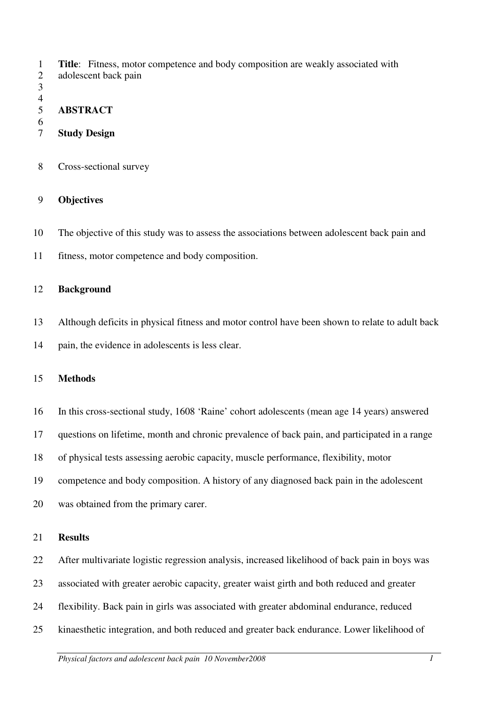1 **Title**: Fitness, motor competence and body composition are weakly associated with

- 2 adolescent back pain
- 3

## $\frac{4}{5}$ 5 **ABSTRACT**

- 6
- 7 **Study Design**
- 8 Cross-sectional survey

# 9 **Objectives**

10 The objective of this study was to assess the associations between adolescent back pain and

11 fitness, motor competence and body composition.

## 12 **Background**

- 13 Although deficits in physical fitness and motor control have been shown to relate to adult back
- 14 pain, the evidence in adolescents is less clear.

## 15 **Methods**

- 16 In this cross-sectional study, 1608 'Raine' cohort adolescents (mean age 14 years) answered
- 17 questions on lifetime, month and chronic prevalence of back pain, and participated in a range
- 18 of physical tests assessing aerobic capacity, muscle performance, flexibility, motor
- 19 competence and body composition. A history of any diagnosed back pain in the adolescent
- 20 was obtained from the primary carer.

## 21 **Results**

- 22 After multivariate logistic regression analysis, increased likelihood of back pain in boys was
- 23 associated with greater aerobic capacity, greater waist girth and both reduced and greater
- 24 flexibility. Back pain in girls was associated with greater abdominal endurance, reduced
- 25 kinaesthetic integration, and both reduced and greater back endurance. Lower likelihood of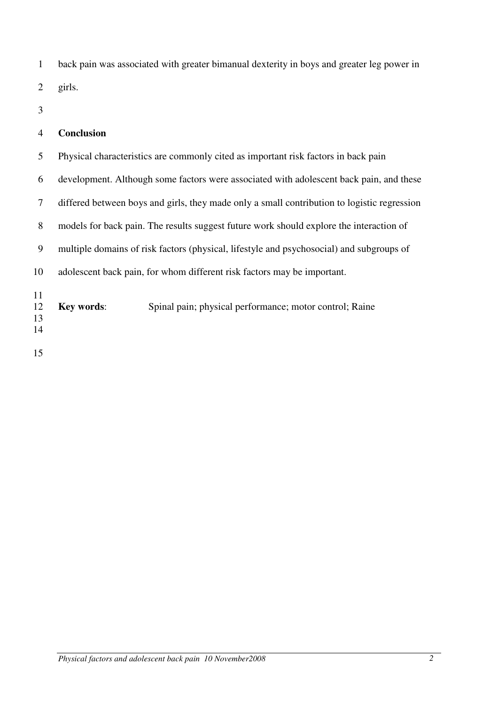1 back pain was associated with greater bimanual dexterity in boys and greater leg power in 2 girls.

3

## 4 **Conclusion**

5 Physical characteristics are commonly cited as important risk factors in back pain 6 development. Although some factors were associated with adolescent back pain, and these 7 differed between boys and girls, they made only a small contribution to logistic regression 8 models for back pain. The results suggest future work should explore the interaction of 9 multiple domains of risk factors (physical, lifestyle and psychosocial) and subgroups of 10 adolescent back pain, for whom different risk factors may be important. 11 12 **Key words**: Spinal pain; physical performance; motor control; Raine 13 14

15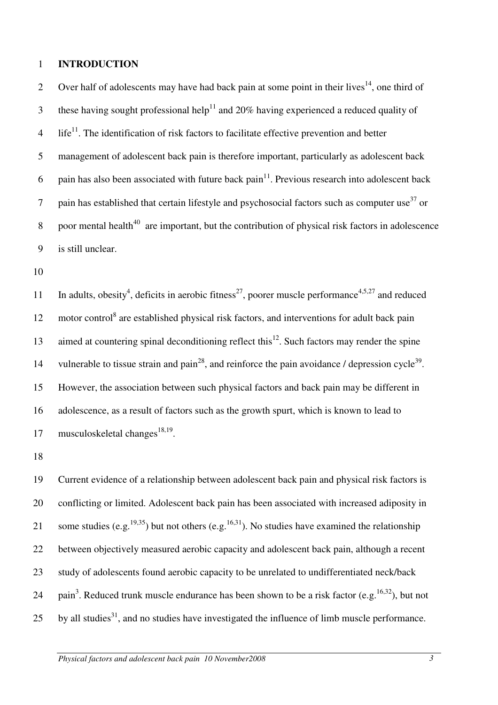#### 1 **INTRODUCTION**

Over half of adolescents may have had back pain at some point in their lives<sup>14</sup>, one third of these having sought professional help<sup>11</sup> and 20% having experienced a reduced quality of  $\mu$  life<sup>11</sup>. The identification of risk factors to facilitate effective prevention and better 5 management of adolescent back pain is therefore important, particularly as adolescent back 6 pain has also been associated with future back pain<sup>11</sup>. Previous research into adolescent back 7 pain has established that certain lifestyle and psychosocial factors such as computer use  $37 \text{ or } 7$ 8 poor mental health<sup>40</sup> are important, but the contribution of physical risk factors in adolescence 9 is still unclear.

10

11 In adults, obesity<sup>4</sup>, deficits in aerobic fitness<sup>27</sup>, poorer muscle performance<sup>4,5,27</sup> and reduced 12 motor control<sup>8</sup> are established physical risk factors, and interventions for adult back pain 13 aimed at countering spinal deconditioning reflect this<sup>12</sup>. Such factors may render the spine 14 vulnerable to tissue strain and pain<sup>28</sup>, and reinforce the pain avoidance / depression cycle<sup>39</sup>. 15 However, the association between such physical factors and back pain may be different in 16 adolescence, as a result of factors such as the growth spurt, which is known to lead to 17 musculoskeletal changes<sup>18,19</sup>.

18

19 Current evidence of a relationship between adolescent back pain and physical risk factors is 20 conflicting or limited. Adolescent back pain has been associated with increased adiposity in 21 some studies (e.g.<sup>19,35</sup>) but not others (e.g.<sup>16,31</sup>). No studies have examined the relationship 22 between objectively measured aerobic capacity and adolescent back pain, although a recent 23 study of adolescents found aerobic capacity to be unrelated to undifferentiated neck/back 24 pain<sup>3</sup>. Reduced trunk muscle endurance has been shown to be a risk factor (e.g.  $^{16,32}$ ), but not 25 by all studies<sup>31</sup>, and no studies have investigated the influence of limb muscle performance.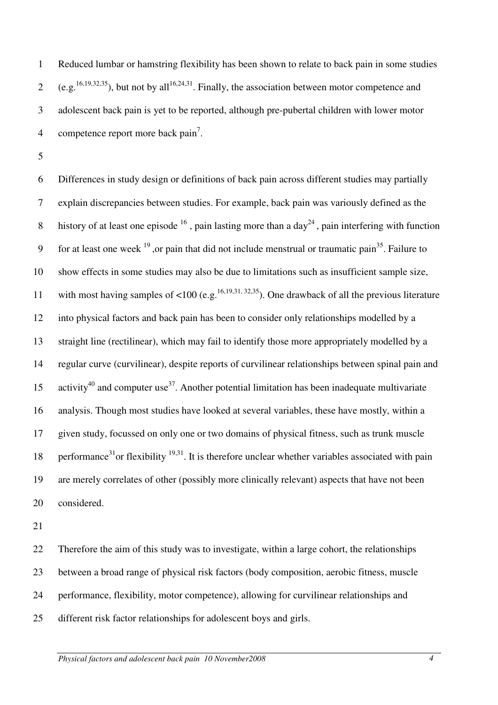1 Reduced lumbar or hamstring flexibility has been shown to relate to back pain in some studies 2 (e.g.<sup>16,19,32,35</sup>), but not by all<sup>16,24,31</sup>. Finally, the association between motor competence and 3 adolescent back pain is yet to be reported, although pre-pubertal children with lower motor 4 competence report more back  $\text{pair}^7$ .

5

6 Differences in study design or definitions of back pain across different studies may partially 7 explain discrepancies between studies. For example, back pain was variously defined as the 8 history of at least one episode  $16$ , pain lasting more than a day<sup>24</sup>, pain interfering with function 9 for at least one week  $19$ , or pain that did not include menstrual or traumatic pain<sup>35</sup>. Failure to 10 show effects in some studies may also be due to limitations such as insufficient sample size, 11 with most having samples of <100 (e.g.<sup>16,19,31, 32,35</sup>). One drawback of all the previous literature 12 into physical factors and back pain has been to consider only relationships modelled by a 13 straight line (rectilinear), which may fail to identify those more appropriately modelled by a 14 regular curve (curvilinear), despite reports of curvilinear relationships between spinal pain and 15 activity<sup>40</sup> and computer use<sup>37</sup>. Another potential limitation has been inadequate multivariate 16 analysis. Though most studies have looked at several variables, these have mostly, within a 17 given study, focussed on only one or two domains of physical fitness, such as trunk muscle 18 performance<sup>31</sup>or flexibility  $19,31$ . It is therefore unclear whether variables associated with pain 19 are merely correlates of other (possibly more clinically relevant) aspects that have not been 20 considered.

21

22 Therefore the aim of this study was to investigate, within a large cohort, the relationships 23 between a broad range of physical risk factors (body composition, aerobic fitness, muscle 24 performance, flexibility, motor competence), allowing for curvilinear relationships and 25 different risk factor relationships for adolescent boys and girls.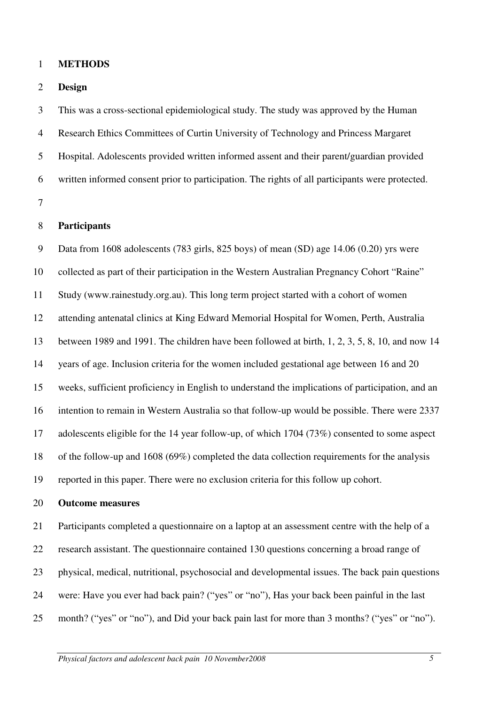#### 1 **METHODS**

#### 2 **Design**

3 This was a cross-sectional epidemiological study. The study was approved by the Human 4 Research Ethics Committees of Curtin University of Technology and Princess Margaret 5 Hospital. Adolescents provided written informed assent and their parent/guardian provided 6 written informed consent prior to participation. The rights of all participants were protected. 7

### 8 **Participants**

9 Data from 1608 adolescents (783 girls, 825 boys) of mean (SD) age 14.06 (0.20) yrs were 10 collected as part of their participation in the Western Australian Pregnancy Cohort "Raine" 11 Study (www.rainestudy.org.au). This long term project started with a cohort of women 12 attending antenatal clinics at King Edward Memorial Hospital for Women, Perth, Australia 13 between 1989 and 1991. The children have been followed at birth, 1, 2, 3, 5, 8, 10, and now 14 14 years of age. Inclusion criteria for the women included gestational age between 16 and 20 15 weeks, sufficient proficiency in English to understand the implications of participation, and an 16 intention to remain in Western Australia so that follow-up would be possible. There were 2337 17 adolescents eligible for the 14 year follow-up, of which 1704 (73%) consented to some aspect 18 of the follow-up and 1608 (69%) completed the data collection requirements for the analysis 19 reported in this paper. There were no exclusion criteria for this follow up cohort.

### 20 **Outcome measures**

21 Participants completed a questionnaire on a laptop at an assessment centre with the help of a 22 research assistant. The questionnaire contained 130 questions concerning a broad range of 23 physical, medical, nutritional, psychosocial and developmental issues. The back pain questions 24 were: Have you ever had back pain? ("yes" or "no"), Has your back been painful in the last 25 month? ("yes" or "no"), and Did your back pain last for more than 3 months? ("yes" or "no").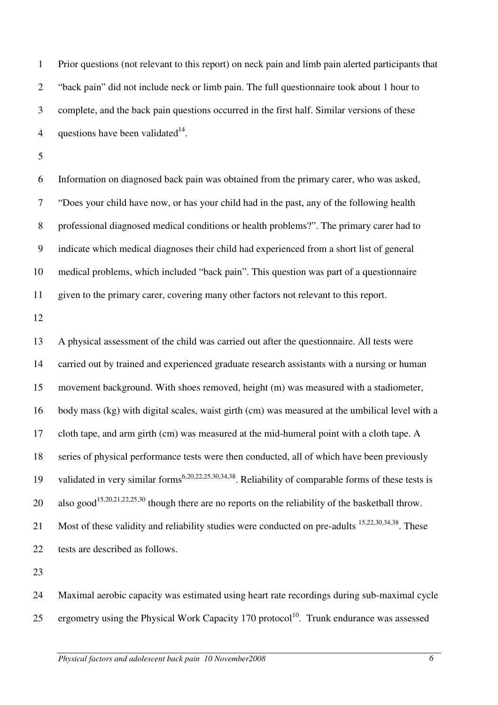1 Prior questions (not relevant to this report) on neck pain and limb pain alerted participants that 2 "back pain" did not include neck or limb pain. The full questionnaire took about 1 hour to 3 complete, and the back pain questions occurred in the first half. Similar versions of these 4 questions have been validated $14$ .

5

6 Information on diagnosed back pain was obtained from the primary carer, who was asked, 7 "Does your child have now, or has your child had in the past, any of the following health 8 professional diagnosed medical conditions or health problems?". The primary carer had to 9 indicate which medical diagnoses their child had experienced from a short list of general 10 medical problems, which included "back pain". This question was part of a questionnaire 11 given to the primary carer, covering many other factors not relevant to this report.

12

13 A physical assessment of the child was carried out after the questionnaire. All tests were 14 carried out by trained and experienced graduate research assistants with a nursing or human 15 movement background. With shoes removed, height (m) was measured with a stadiometer, 16 body mass (kg) with digital scales, waist girth (cm) was measured at the umbilical level with a 17 cloth tape, and arm girth (cm) was measured at the mid-humeral point with a cloth tape. A 18 series of physical performance tests were then conducted, all of which have been previously 19 validated in very similar forms<sup>6,20,22,25,30,34,38</sup>. Reliability of comparable forms of these tests is 20 also good<sup>15,20,21,22,25,30</sup> though there are no reports on the reliability of the basketball throw. 21 Most of these validity and reliability studies were conducted on pre-adults  $15,22,30,34,38$ . These 22 tests are described as follows.

23

24 Maximal aerobic capacity was estimated using heart rate recordings during sub-maximal cycle 25 ergometry using the Physical Work Capacity 170 protocol<sup>10</sup>. Trunk endurance was assessed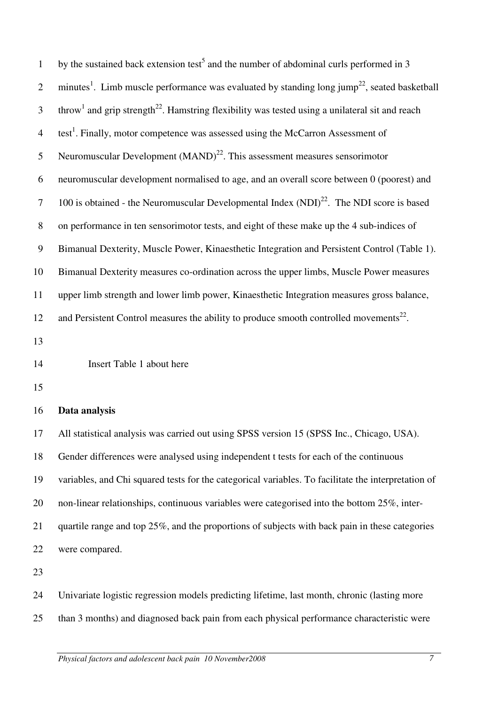| $\mathbf{1}$     | by the sustained back extension test <sup>5</sup> and the number of abdominal curls performed in 3                     |
|------------------|------------------------------------------------------------------------------------------------------------------------|
| $\mathfrak{2}$   | minutes <sup>1</sup> . Limb muscle performance was evaluated by standing long jump <sup>22</sup> , seated basketball   |
| 3                | throw <sup>1</sup> and grip strength <sup>22</sup> . Hamstring flexibility was tested using a unilateral sit and reach |
| $\overline{4}$   | test <sup>1</sup> . Finally, motor competence was assessed using the McCarron Assessment of                            |
| $\mathfrak{S}$   | Neuromuscular Development $(MAND)^{22}$ . This assessment measures sensorimotor                                        |
| 6                | neuromuscular development normalised to age, and an overall score between 0 (poorest) and                              |
| $\tau$           | 100 is obtained - the Neuromuscular Developmental Index $(NDI)^{22}$ . The NDI score is based                          |
| $8\,$            | on performance in ten sensorimotor tests, and eight of these make up the 4 sub-indices of                              |
| $\boldsymbol{9}$ | Bimanual Dexterity, Muscle Power, Kinaesthetic Integration and Persistent Control (Table 1).                           |
| 10               | Bimanual Dexterity measures co-ordination across the upper limbs, Muscle Power measures                                |
| 11               | upper limb strength and lower limb power, Kinaesthetic Integration measures gross balance,                             |
| 12               | and Persistent Control measures the ability to produce smooth controlled movements <sup>22</sup> .                     |
| 13               |                                                                                                                        |
| 14               | Insert Table 1 about here                                                                                              |
| 15               |                                                                                                                        |
| 16               | Data analysis                                                                                                          |
| 17               | All statistical analysis was carried out using SPSS version 15 (SPSS Inc., Chicago, USA).                              |
| 18               | Gender differences were analysed using independent t tests for each of the continuous                                  |
| 19               | variables, and Chi squared tests for the categorical variables. To facilitate the interpretation of                    |
| 20               | non-linear relationships, continuous variables were categorised into the bottom 25%, inter-                            |
| 21               | quartile range and top 25%, and the proportions of subjects with back pain in these categories                         |
| 22               | were compared.                                                                                                         |
| 23               |                                                                                                                        |
| 24               | Univariate logistic regression models predicting lifetime, last month, chronic (lasting more                           |
| 25               | than 3 months) and diagnosed back pain from each physical performance characteristic were                              |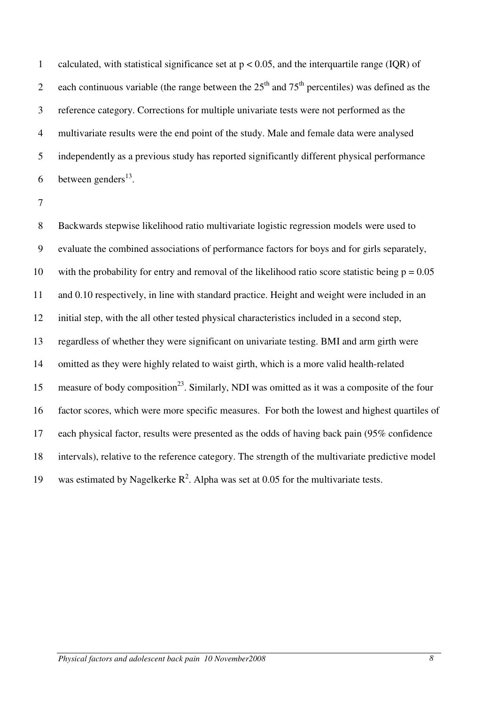1 calculated, with statistical significance set at  $p < 0.05$ , and the interquartile range (IQR) of 2 each continuous variable (the range between the  $25<sup>th</sup>$  and  $75<sup>th</sup>$  percentiles) was defined as the 3 reference category. Corrections for multiple univariate tests were not performed as the 4 multivariate results were the end point of the study. Male and female data were analysed 5 independently as a previous study has reported significantly different physical performance 6 between genders<sup>13</sup>.

8 Backwards stepwise likelihood ratio multivariate logistic regression models were used to 9 evaluate the combined associations of performance factors for boys and for girls separately, 10 with the probability for entry and removal of the likelihood ratio score statistic being  $p = 0.05$ 11 and 0.10 respectively, in line with standard practice. Height and weight were included in an 12 initial step, with the all other tested physical characteristics included in a second step, 13 regardless of whether they were significant on univariate testing. BMI and arm girth were 14 omitted as they were highly related to waist girth, which is a more valid health-related 15 measure of body composition<sup>23</sup>. Similarly, NDI was omitted as it was a composite of the four 16 factor scores, which were more specific measures. For both the lowest and highest quartiles of 17 each physical factor, results were presented as the odds of having back pain (95% confidence 18 intervals), relative to the reference category. The strength of the multivariate predictive model 19 was estimated by Nagelkerke  $R^2$ . Alpha was set at 0.05 for the multivariate tests.

<sup>7</sup>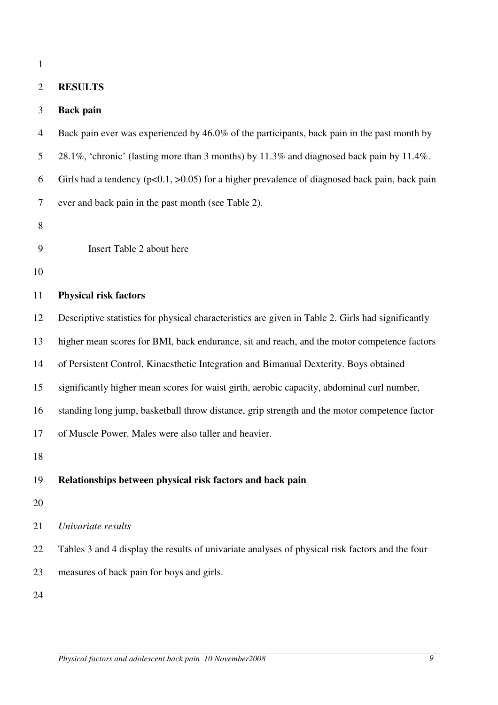1

### 2 **RESULTS**

### 3 **Back pain**

4 Back pain ever was experienced by 46.0% of the participants, back pain in the past month by

- 5 28.1%, 'chronic' (lasting more than 3 months) by 11.3% and diagnosed back pain by 11.4%.
- 6 Girls had a tendency ( $p<0.1$ ,  $>0.05$ ) for a higher prevalence of diagnosed back pain, back pain
- 7 ever and back pain in the past month (see Table 2).
- 8
- 9 Insert Table 2 about here
- 10

## 11 **Physical risk factors**

12 Descriptive statistics for physical characteristics are given in Table 2. Girls had significantly

13 higher mean scores for BMI, back endurance, sit and reach, and the motor competence factors

- 14 of Persistent Control, Kinaesthetic Integration and Bimanual Dexterity. Boys obtained
- 15 significantly higher mean scores for waist girth, aerobic capacity, abdominal curl number,
- 16 standing long jump, basketball throw distance, grip strength and the motor competence factor
- 17 of Muscle Power. Males were also taller and heavier.
- 18

#### 19 **Relationships between physical risk factors and back pain**

- 20
- 21 *Univariate results*

22 Tables 3 and 4 display the results of univariate analyses of physical risk factors and the four 23 measures of back pain for boys and girls.

24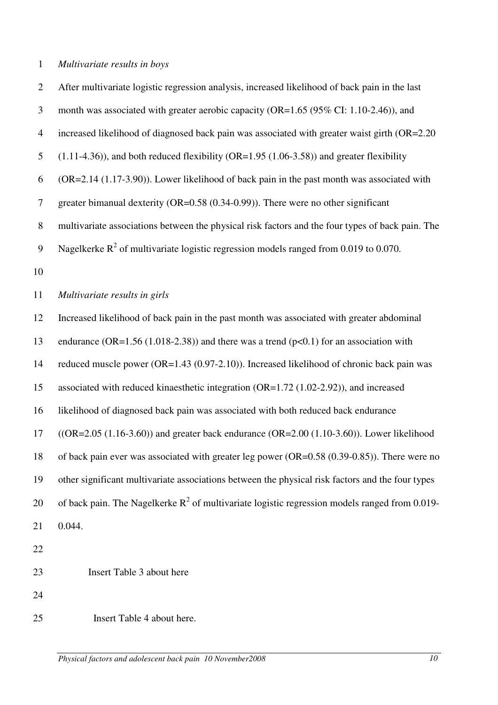# 1 *Multivariate results in boys*

| $\overline{2}$ | After multivariate logistic regression analysis, increased likelihood of back pain in the last   |
|----------------|--------------------------------------------------------------------------------------------------|
| 3              | month was associated with greater aerobic capacity (OR=1.65 (95% CI: 1.10-2.46)), and            |
| $\overline{4}$ | increased likelihood of diagnosed back pain was associated with greater waist girth (OR=2.20)    |
| 5              | $(1.11-4.36)$ , and both reduced flexibility (OR=1.95 $(1.06-3.58)$ ) and greater flexibility    |
| 6              | $(OR=2.14 (1.17-3.90))$ . Lower likelihood of back pain in the past month was associated with    |
| 7              | greater bimanual dexterity ( $OR=0.58$ ( $0.34-0.99$ )). There were no other significant         |
| 8              | multivariate associations between the physical risk factors and the four types of back pain. The |
| 9              | Nagelkerke $R^2$ of multivariate logistic regression models ranged from 0.019 to 0.070.          |
| 10             |                                                                                                  |
| 11             | Multivariate results in girls                                                                    |
| 12             | Increased likelihood of back pain in the past month was associated with greater abdominal        |
| 13             | endurance (OR=1.56 (1.018-2.38)) and there was a trend ( $p<0.1$ ) for an association with       |
| 14             | reduced muscle power (OR=1.43 (0.97-2.10)). Increased likelihood of chronic back pain was        |
| 15             | associated with reduced kinaesthetic integration (OR=1.72 (1.02-2.92)), and increased            |
| 16             | likelihood of diagnosed back pain was associated with both reduced back endurance                |
| 17             | $((OR=2.05 (1.16-3.60))$ and greater back endurance $(OR=2.00 (1.10-3.60))$ . Lower likelihood   |
| 18             | of back pain ever was associated with greater leg power ( $OR=0.58$ (0.39-0.85)). There were no  |
| 19             | other significant multivariate associations between the physical risk factors and the four types |
| 20             | of back pain. The Nagelkerke $R^2$ of multivariate logistic regression models ranged from 0.019- |
| 21             | 0.044.                                                                                           |
| 22             |                                                                                                  |
| 23             | Insert Table 3 about here                                                                        |
| 24             |                                                                                                  |
| 25             | Insert Table 4 about here.                                                                       |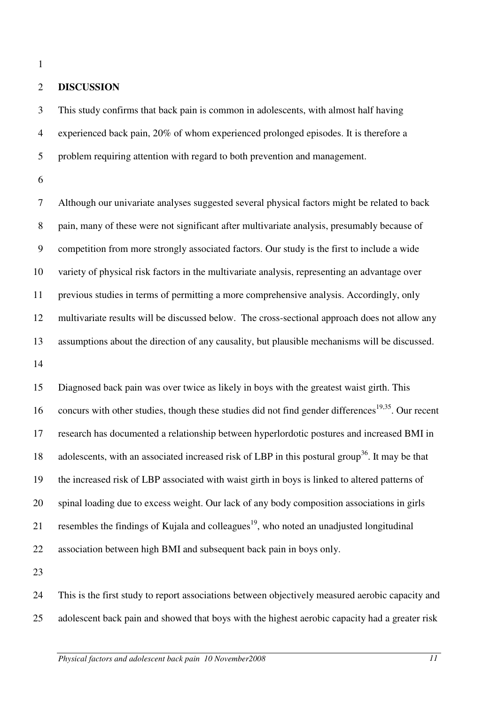1

### 2 **DISCUSSION**

3 This study confirms that back pain is common in adolescents, with almost half having 4 experienced back pain, 20% of whom experienced prolonged episodes. It is therefore a 5 problem requiring attention with regard to both prevention and management.

6

7 Although our univariate analyses suggested several physical factors might be related to back 8 pain, many of these were not significant after multivariate analysis, presumably because of 9 competition from more strongly associated factors. Our study is the first to include a wide 10 variety of physical risk factors in the multivariate analysis, representing an advantage over 11 previous studies in terms of permitting a more comprehensive analysis. Accordingly, only 12 multivariate results will be discussed below. The cross-sectional approach does not allow any 13 assumptions about the direction of any causality, but plausible mechanisms will be discussed. 14

15 Diagnosed back pain was over twice as likely in boys with the greatest waist girth. This 16 concurs with other studies, though these studies did not find gender differences<sup>19,35</sup>. Our recent 17 research has documented a relationship between hyperlordotic postures and increased BMI in 18 adolescents, with an associated increased risk of LBP in this postural group<sup>36</sup>. It may be that 19 the increased risk of LBP associated with waist girth in boys is linked to altered patterns of 20 spinal loading due to excess weight. Our lack of any body composition associations in girls 21 resembles the findings of Kujala and colleagues<sup>19</sup>, who noted an unadjusted longitudinal 22 association between high BMI and subsequent back pain in boys only.

23

24 This is the first study to report associations between objectively measured aerobic capacity and 25 adolescent back pain and showed that boys with the highest aerobic capacity had a greater risk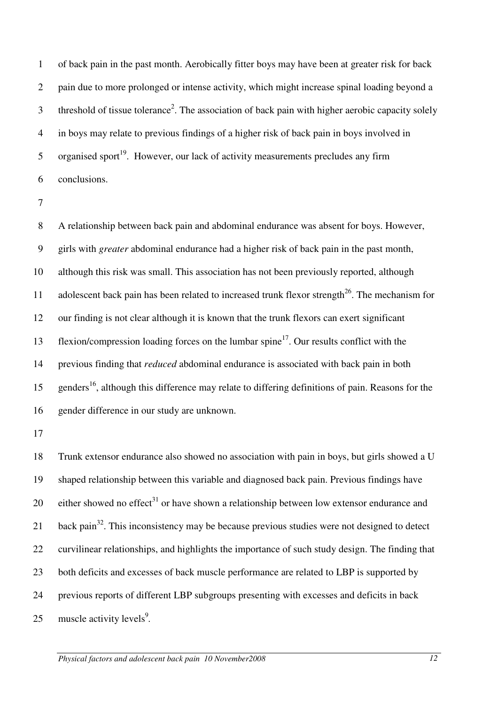1 of back pain in the past month. Aerobically fitter boys may have been at greater risk for back 2 pain due to more prolonged or intense activity, which might increase spinal loading beyond a 3 threshold of tissue tolerance<sup>2</sup>. The association of back pain with higher aerobic capacity solely 4 in boys may relate to previous findings of a higher risk of back pain in boys involved in 5 organised sport<sup>19</sup>. However, our lack of activity measurements precludes any firm 6 conclusions.

8 A relationship between back pain and abdominal endurance was absent for boys. However, 9 girls with *greater* abdominal endurance had a higher risk of back pain in the past month, 10 although this risk was small. This association has not been previously reported, although 11 adolescent back pain has been related to increased trunk flexor strength<sup>26</sup>. The mechanism for 12 our finding is not clear although it is known that the trunk flexors can exert significant 13 flexion/compression loading forces on the lumbar spine<sup>17</sup>. Our results conflict with the 14 previous finding that *reduced* abdominal endurance is associated with back pain in both 15 genders<sup>16</sup>, although this difference may relate to differing definitions of pain. Reasons for the 16 gender difference in our study are unknown.

17

18 Trunk extensor endurance also showed no association with pain in boys, but girls showed a U 19 shaped relationship between this variable and diagnosed back pain. Previous findings have 20 either showed no effect<sup>31</sup> or have shown a relationship between low extensor endurance and 21 back pain<sup>32</sup>. This inconsistency may be because previous studies were not designed to detect 22 curvilinear relationships, and highlights the importance of such study design. The finding that 23 both deficits and excesses of back muscle performance are related to LBP is supported by 24 previous reports of different LBP subgroups presenting with excesses and deficits in back 25 muscle activity levels<sup>9</sup>.

<sup>7</sup>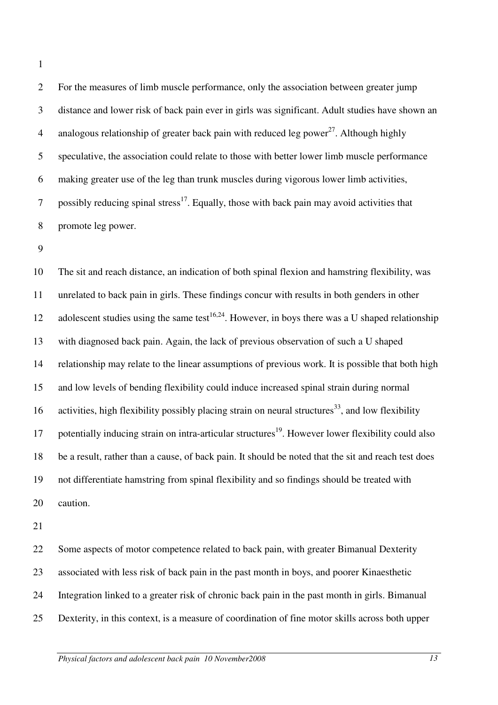1

2 For the measures of limb muscle performance, only the association between greater jump 3 distance and lower risk of back pain ever in girls was significant. Adult studies have shown an 4 analogous relationship of greater back pain with reduced leg power<sup>27</sup>. Although highly 5 speculative, the association could relate to those with better lower limb muscle performance 6 making greater use of the leg than trunk muscles during vigorous lower limb activities, 7 possibly reducing spinal stress<sup>17</sup>. Equally, those with back pain may avoid activities that 8 promote leg power.

9

10 The sit and reach distance, an indication of both spinal flexion and hamstring flexibility, was 11 unrelated to back pain in girls. These findings concur with results in both genders in other 12 adolescent studies using the same test<sup>16,24</sup>. However, in boys there was a U shaped relationship 13 with diagnosed back pain. Again, the lack of previous observation of such a U shaped 14 relationship may relate to the linear assumptions of previous work. It is possible that both high 15 and low levels of bending flexibility could induce increased spinal strain during normal 16 activities, high flexibility possibly placing strain on neural structures<sup>33</sup>, and low flexibility 17 potentially inducing strain on intra-articular structures<sup>19</sup>. However lower flexibility could also 18 be a result, rather than a cause, of back pain. It should be noted that the sit and reach test does 19 not differentiate hamstring from spinal flexibility and so findings should be treated with 20 caution.

21

22 Some aspects of motor competence related to back pain, with greater Bimanual Dexterity 23 associated with less risk of back pain in the past month in boys, and poorer Kinaesthetic 24 Integration linked to a greater risk of chronic back pain in the past month in girls. Bimanual 25 Dexterity, in this context, is a measure of coordination of fine motor skills across both upper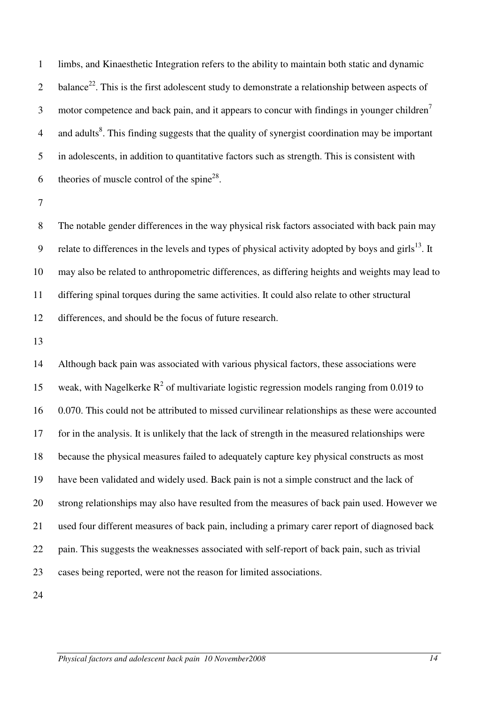1 limbs, and Kinaesthetic Integration refers to the ability to maintain both static and dynamic 2 balance<sup>22</sup>. This is the first adolescent study to demonstrate a relationship between aspects of motor competence and back pain, and it appears to concur with findings in younger children<sup>7</sup> 3 4 and adults<sup>8</sup>. This finding suggests that the quality of synergist coordination may be important 5 in adolescents, in addition to quantitative factors such as strength. This is consistent with 6 theories of muscle control of the spine<sup>28</sup>.

7

8 The notable gender differences in the way physical risk factors associated with back pain may 9 relate to differences in the levels and types of physical activity adopted by boys and girls $13$ . It 10 may also be related to anthropometric differences, as differing heights and weights may lead to 11 differing spinal torques during the same activities. It could also relate to other structural 12 differences, and should be the focus of future research.

13

14 Although back pain was associated with various physical factors, these associations were 15 weak, with Nagelkerke  $R^2$  of multivariate logistic regression models ranging from 0.019 to 16 0.070. This could not be attributed to missed curvilinear relationships as these were accounted 17 for in the analysis. It is unlikely that the lack of strength in the measured relationships were 18 because the physical measures failed to adequately capture key physical constructs as most 19 have been validated and widely used. Back pain is not a simple construct and the lack of 20 strong relationships may also have resulted from the measures of back pain used. However we 21 used four different measures of back pain, including a primary carer report of diagnosed back 22 pain. This suggests the weaknesses associated with self-report of back pain, such as trivial 23 cases being reported, were not the reason for limited associations.

24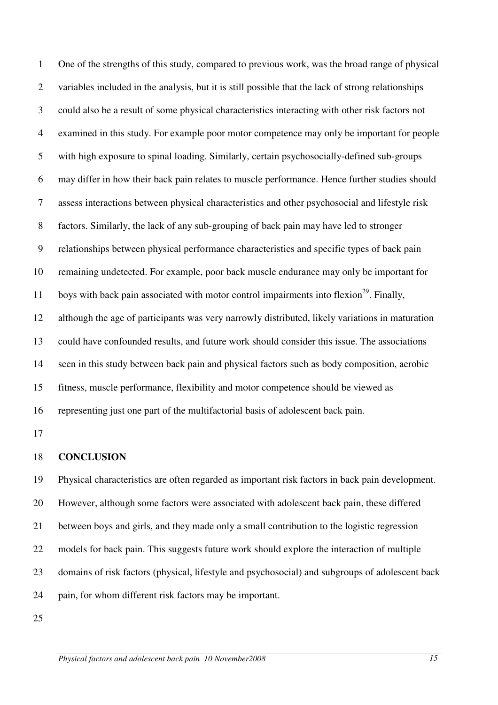1 One of the strengths of this study, compared to previous work, was the broad range of physical 2 variables included in the analysis, but it is still possible that the lack of strong relationships 3 could also be a result of some physical characteristics interacting with other risk factors not 4 examined in this study. For example poor motor competence may only be important for people 5 with high exposure to spinal loading. Similarly, certain psychosocially-defined sub-groups 6 may differ in how their back pain relates to muscle performance. Hence further studies should 7 assess interactions between physical characteristics and other psychosocial and lifestyle risk 8 factors. Similarly, the lack of any sub-grouping of back pain may have led to stronger 9 relationships between physical performance characteristics and specific types of back pain 10 remaining undetected. For example, poor back muscle endurance may only be important for 11 boys with back pain associated with motor control impairments into flexion<sup>29</sup>. Finally, 12 although the age of participants was very narrowly distributed, likely variations in maturation 13 could have confounded results, and future work should consider this issue. The associations 14 seen in this study between back pain and physical factors such as body composition, aerobic 15 fitness, muscle performance, flexibility and motor competence should be viewed as 16 representing just one part of the multifactorial basis of adolescent back pain.

17

### 18 **CONCLUSION**

19 Physical characteristics are often regarded as important risk factors in back pain development. 20 However, although some factors were associated with adolescent back pain, these differed 21 between boys and girls, and they made only a small contribution to the logistic regression 22 models for back pain. This suggests future work should explore the interaction of multiple 23 domains of risk factors (physical, lifestyle and psychosocial) and subgroups of adolescent back 24 pain, for whom different risk factors may be important.

25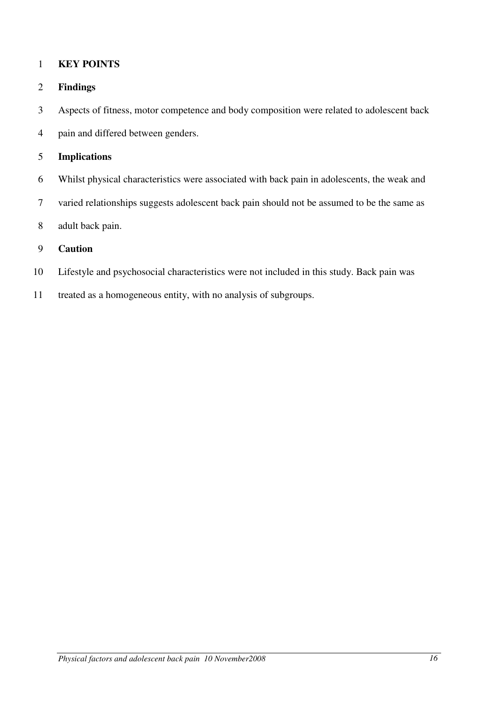## 1 **KEY POINTS**

## 2 **Findings**

- 3 Aspects of fitness, motor competence and body composition were related to adolescent back
- 4 pain and differed between genders.

## 5 **Implications**

- 6 Whilst physical characteristics were associated with back pain in adolescents, the weak and
- 7 varied relationships suggests adolescent back pain should not be assumed to be the same as
- 8 adult back pain.

## 9 **Caution**

- 10 Lifestyle and psychosocial characteristics were not included in this study. Back pain was
- 11 treated as a homogeneous entity, with no analysis of subgroups.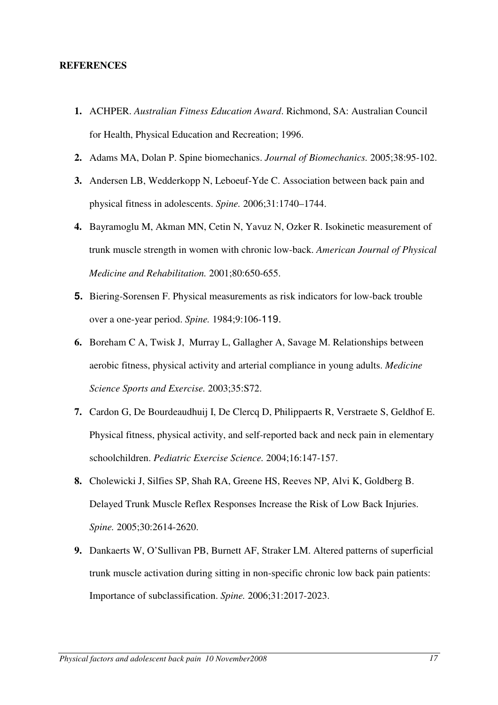#### **REFERENCES**

- **1.** ACHPER. *Australian Fitness Education Award*. Richmond, SA: Australian Council for Health, Physical Education and Recreation; 1996.
- **2.** Adams MA, Dolan P. Spine biomechanics. *Journal of Biomechanics.* 2005;38:95-102.
- **3.** Andersen LB, Wedderkopp N, Leboeuf-Yde C. Association between back pain and physical fitness in adolescents. *Spine.* 2006;31:1740–1744.
- **4.** Bayramoglu M, Akman MN, Cetin N, Yavuz N, Ozker R. Isokinetic measurement of trunk muscle strength in women with chronic low-back. *American Journal of Physical Medicine and Rehabilitation.* 2001;80:650-655.
- **5.** Biering-Sorensen F. Physical measurements as risk indicators for low-back trouble over a one-year period. *Spine.* 1984;9:106-119.
- **6.** Boreham C A, Twisk J, Murray L, Gallagher A, Savage M. Relationships between aerobic fitness, physical activity and arterial compliance in young adults. *Medicine Science Sports and Exercise.* 2003;35:S72.
- **7.** Cardon G, De Bourdeaudhuij I, De Clercq D, Philippaerts R, Verstraete S, Geldhof E. Physical fitness, physical activity, and self-reported back and neck pain in elementary schoolchildren. *Pediatric Exercise Science.* 2004;16:147-157.
- **8.** Cholewicki J, Silfies SP, Shah RA, Greene HS, Reeves NP, Alvi K, Goldberg B. Delayed Trunk Muscle Reflex Responses Increase the Risk of Low Back Injuries. *Spine.* 2005;30:2614-2620.
- **9.** Dankaerts W, O'Sullivan PB, Burnett AF, Straker LM. Altered patterns of superficial trunk muscle activation during sitting in non-specific chronic low back pain patients: Importance of subclassification. *Spine.* 2006;31:2017-2023.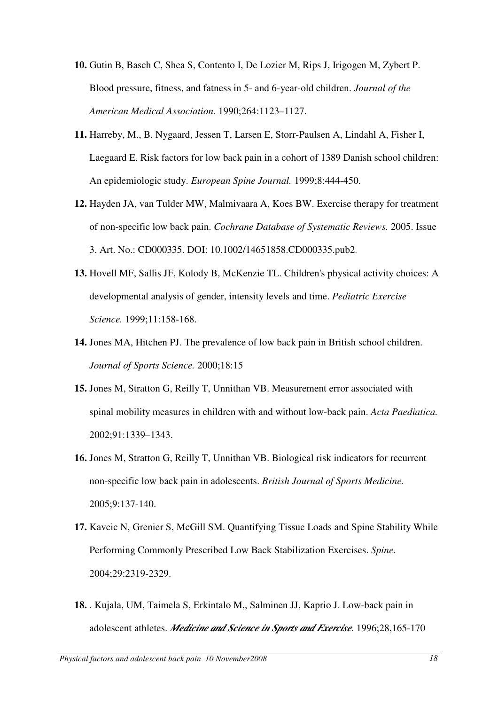- **10.** Gutin B, Basch C, Shea S, Contento I, De Lozier M, Rips J, Irigogen M, Zybert P. Blood pressure, fitness, and fatness in 5- and 6-year-old children. *Journal of the American Medical Association.* 1990;264:1123–1127.
- **11.** Harreby, M., B. Nygaard, Jessen T, Larsen E, Storr-Paulsen A, Lindahl A, Fisher I, Laegaard E. Risk factors for low back pain in a cohort of 1389 Danish school children: An epidemiologic study. *European Spine Journal.* 1999;8:444-450.
- **12.** Hayden JA, van Tulder MW, Malmivaara A, Koes BW. Exercise therapy for treatment of non-specific low back pain. *Cochrane Database of Systematic Reviews.* 2005. Issue 3. Art. No.: CD000335. DOI: 10.1002/14651858.CD000335.pub2.
- **13.** Hovell MF, Sallis JF, Kolody B, McKenzie TL. Children's physical activity choices: A developmental analysis of gender, intensity levels and time. *Pediatric Exercise Science.* 1999;11:158-168.
- **14.** Jones MA, Hitchen PJ. The prevalence of low back pain in British school children. *Journal of Sports Science.* 2000;18:15
- **15.** Jones M, Stratton G, Reilly T, Unnithan VB. Measurement error associated with spinal mobility measures in children with and without low-back pain. *Acta Paediatica.* 2002;91:1339–1343.
- **16.** Jones M, Stratton G, Reilly T, Unnithan VB. Biological risk indicators for recurrent non-specific low back pain in adolescents. *British Journal of Sports Medicine.*  2005;9:137-140.
- **17.** Kavcic N, Grenier S, McGill SM. Quantifying Tissue Loads and Spine Stability While Performing Commonly Prescribed Low Back Stabilization Exercises. *Spine.* 2004;29:2319-2329.
- **18.** . Kujala, UM, Taimela S, Erkintalo M,, Salminen JJ, Kaprio J. Low-back pain in adolescent athletes. *Medicine and Science in Sports and Exercise*. 1996;28,165-170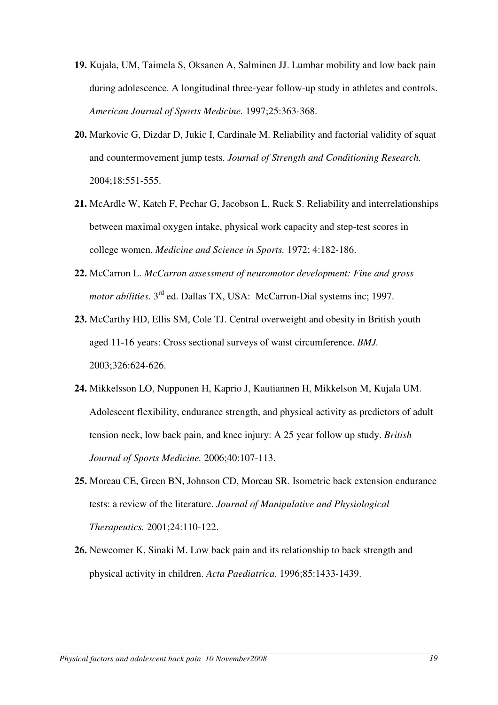- **19.** Kujala, UM, Taimela S, Oksanen A, Salminen JJ. Lumbar mobility and low back pain during adolescence. A longitudinal three-year follow-up study in athletes and controls. *American Journal of Sports Medicine.* 1997;25:363-368.
- **20.** Markovic G, Dizdar D, Jukic I, Cardinale M. Reliability and factorial validity of squat and countermovement jump tests. *Journal of Strength and Conditioning Research.*  2004;18:551-555.
- **21.** McArdle W, Katch F, Pechar G, Jacobson L, Ruck S. Reliability and interrelationships between maximal oxygen intake, physical work capacity and step-test scores in college women. *Medicine and Science in Sports.* 1972; 4:182-186.
- **22.** McCarron L. *McCarron assessment of neuromotor development: Fine and gross motor abilities*. 3<sup>rd</sup> ed. Dallas TX, USA: McCarron-Dial systems inc; 1997.
- **23.** McCarthy HD, Ellis SM, Cole TJ. Central overweight and obesity in British youth aged 11-16 years: Cross sectional surveys of waist circumference. *BMJ.*  2003;326:624-626.
- **24.** Mikkelsson LO, Nupponen H, Kaprio J, Kautiannen H, Mikkelson M, Kujala UM. Adolescent flexibility, endurance strength, and physical activity as predictors of adult tension neck, low back pain, and knee injury: A 25 year follow up study. *British Journal of Sports Medicine.* 2006;40:107-113.
- **25.** Moreau CE, Green BN, Johnson CD, Moreau SR. Isometric back extension endurance tests: a review of the literature. *Journal of Manipulative and Physiological Therapeutics.* 2001;24:110-122.
- **26.** Newcomer K, Sinaki M. Low back pain and its relationship to back strength and physical activity in children. *Acta Paediatrica.* 1996;85:1433-1439.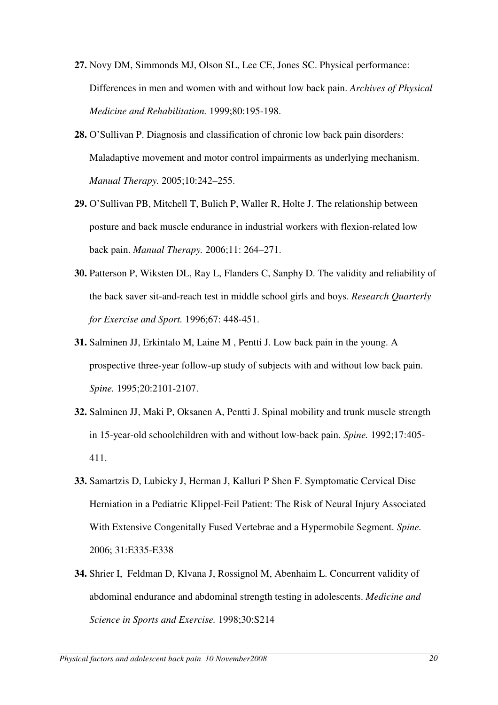- **27.** Novy DM, Simmonds MJ, Olson SL, Lee CE, Jones SC. Physical performance: Differences in men and women with and without low back pain. *Archives of Physical Medicine and Rehabilitation.* 1999;80:195-198.
- **28.** O'Sullivan P. Diagnosis and classification of chronic low back pain disorders: Maladaptive movement and motor control impairments as underlying mechanism. *Manual Therapy.* 2005;10:242–255.
- **29.** O'Sullivan PB, Mitchell T, Bulich P, Waller R, Holte J. The relationship between posture and back muscle endurance in industrial workers with flexion-related low back pain. *Manual Therapy.* 2006;11: 264–271.
- **30.** Patterson P, Wiksten DL, Ray L, Flanders C, Sanphy D. The validity and reliability of the back saver sit-and-reach test in middle school girls and boys. *Research Quarterly for Exercise and Sport.* 1996;67: 448-451.
- **31.** Salminen JJ, Erkintalo M, Laine M , Pentti J. Low back pain in the young. A prospective three-year follow-up study of subjects with and without low back pain. *Spine.* 1995;20:2101-2107.
- **32.** Salminen JJ, Maki P, Oksanen A, Pentti J. Spinal mobility and trunk muscle strength in 15-year-old schoolchildren with and without low-back pain. *Spine.* 1992;17:405- 411.
- **33.** Samartzis D, Lubicky J, Herman J, Kalluri P Shen F. Symptomatic Cervical Disc Herniation in a Pediatric Klippel-Feil Patient: The Risk of Neural Injury Associated With Extensive Congenitally Fused Vertebrae and a Hypermobile Segment. *Spine.*  2006; 31:E335-E338
- **34.** Shrier I, Feldman D, Klvana J, Rossignol M, Abenhaim L. Concurrent validity of abdominal endurance and abdominal strength testing in adolescents. *Medicine and Science in Sports and Exercise.* 1998;30:S214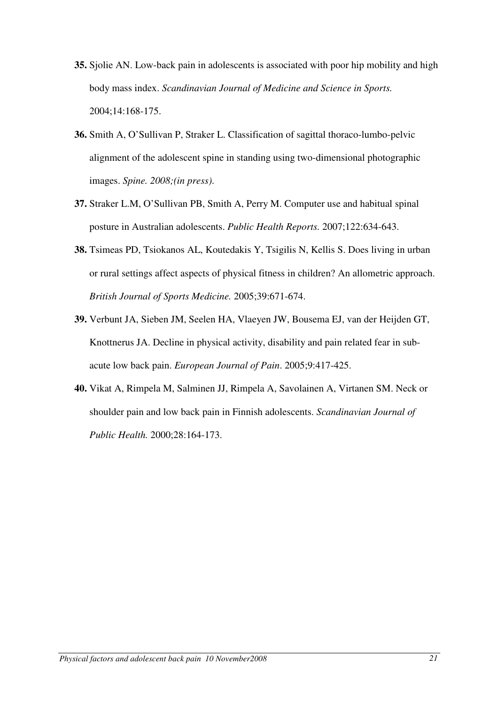- **35.** Sjolie AN. Low-back pain in adolescents is associated with poor hip mobility and high body mass index. *Scandinavian Journal of Medicine and Science in Sports.* 2004;14:168-175.
- **36.** Smith A, O'Sullivan P, Straker L. Classification of sagittal thoraco-lumbo-pelvic alignment of the adolescent spine in standing using two-dimensional photographic images. *Spine. 2008;(in press)*.
- **37.** Straker L.M, O'Sullivan PB, Smith A, Perry M. Computer use and habitual spinal posture in Australian adolescents. *Public Health Reports.* 2007;122:634-643.
- **38.** Tsimeas PD, Tsiokanos AL, Koutedakis Y, Tsigilis N, Kellis S. Does living in urban or rural settings affect aspects of physical fitness in children? An allometric approach. *British Journal of Sports Medicine.* 2005;39:671-674.
- **39.** Verbunt JA, Sieben JM, Seelen HA, Vlaeyen JW, Bousema EJ, van der Heijden GT, Knottnerus JA. Decline in physical activity, disability and pain related fear in subacute low back pain. *European Journal of Pain*. 2005;9:417-425.
- **40.** Vikat A, Rimpela M, Salminen JJ, Rimpela A, Savolainen A, Virtanen SM. Neck or shoulder pain and low back pain in Finnish adolescents. *Scandinavian Journal of Public Health.* 2000;28:164-173.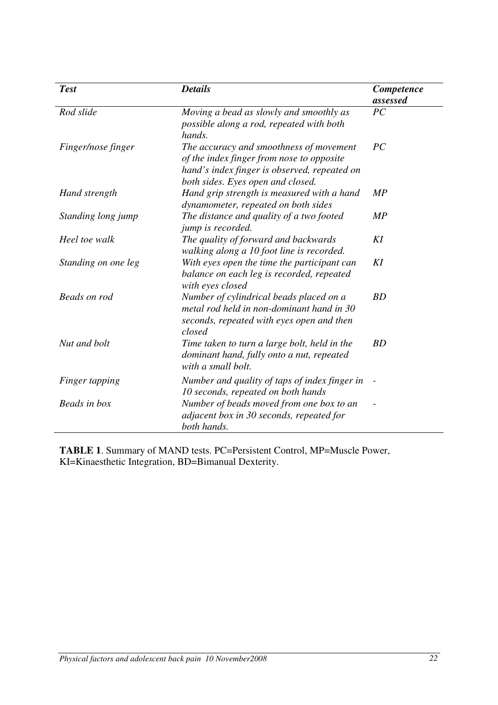| <b>Test</b>         | <b>Details</b>                                                                                                                                                            | Competence<br>assessed |
|---------------------|---------------------------------------------------------------------------------------------------------------------------------------------------------------------------|------------------------|
| Rod slide           | Moving a bead as slowly and smoothly as<br>possible along a rod, repeated with both<br>hands.                                                                             | PC                     |
| Finger/nose finger  | The accuracy and smoothness of movement<br>of the index finger from nose to opposite<br>hand's index finger is observed, repeated on<br>both sides. Eyes open and closed. | PC                     |
| Hand strength       | Hand grip strength is measured with a hand<br>dynamometer, repeated on both sides                                                                                         | MP                     |
| Standing long jump  | The distance and quality of a two footed<br>jump is recorded.                                                                                                             | MP                     |
| Heel toe walk       | The quality of forward and backwards<br>walking along a 10 foot line is recorded.                                                                                         | KI                     |
| Standing on one leg | With eyes open the time the participant can<br>balance on each leg is recorded, repeated<br>with eyes closed                                                              | KI                     |
| <b>Beads</b> on rod | Number of cylindrical beads placed on a<br>metal rod held in non-dominant hand in 30<br>seconds, repeated with eyes open and then<br>closed                               | BD                     |
| Nut and bolt        | Time taken to turn a large bolt, held in the<br>dominant hand, fully onto a nut, repeated<br>with a small bolt.                                                           | <b>BD</b>              |
| Finger tapping      | Number and quality of taps of index finger in<br>10 seconds, repeated on both hands                                                                                       |                        |
| Beads in box        | Number of beads moved from one box to an<br>adjacent box in 30 seconds, repeated for<br>both hands.                                                                       |                        |

**TABLE 1**. Summary of MAND tests. PC=Persistent Control, MP=Muscle Power, KI=Kinaesthetic Integration, BD=Bimanual Dexterity.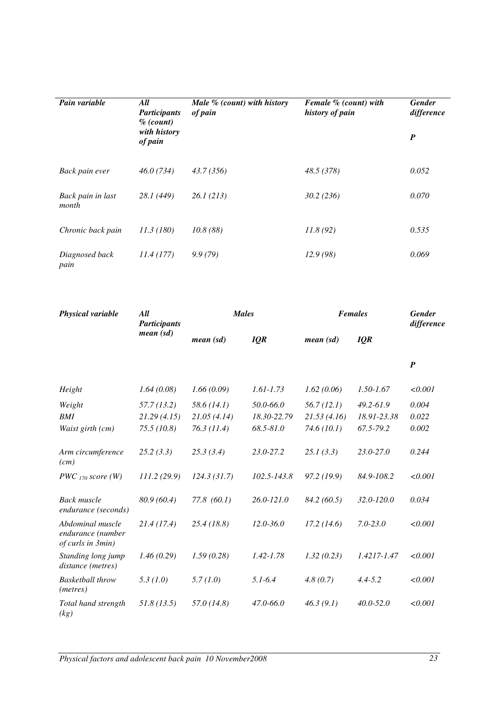| Pain variable              | All<br><b>Participants</b><br>$\%$ (count) | Male $%$ (count) with history<br>of pain | Female % (count) with<br>history of pain | <b>Gender</b><br>difference |
|----------------------------|--------------------------------------------|------------------------------------------|------------------------------------------|-----------------------------|
|                            | with history<br>of pain                    |                                          |                                          | $\boldsymbol{P}$            |
| Back pain ever             | 46.0(734)                                  | 43.7 (356)                               | 48.5 (378)                               | 0.052                       |
| Back pain in last<br>month | 28.1 (449)                                 | 26.1(213)                                | 30.2(236)                                | 0.070                       |
| Chronic back pain          | 11.3(180)                                  | 10.8(88)                                 | 11.8(92)                                 | 0.535                       |
| Diagnosed back<br>pain     | 11.4(177)                                  | 9.9(79)                                  | 12.9(98)                                 | 0.069                       |

| Physical variable                                          | All<br><b>Participants</b> |             | <b>Males</b>    | <b>Females</b> | <b>Gender</b><br>difference |                  |
|------------------------------------------------------------|----------------------------|-------------|-----------------|----------------|-----------------------------|------------------|
|                                                            | mean (sd)                  | mean (sd)   | IQR             | mean (sd)      | IQR                         |                  |
|                                                            |                            |             |                 |                |                             | $\boldsymbol{P}$ |
| Height                                                     | 1.64(0.08)                 | 1.66(0.09)  | $1.61 - 1.73$   | 1.62(0.06)     | 1.50-1.67                   | < 0.001          |
| Weight                                                     | 57.7(13.2)                 | 58.6(14.1)  | 50.0-66.0       | 56.7(12.1)     | 49.2-61.9                   | 0.004            |
| <b>BMI</b>                                                 | 21.29(4.15)                | 21.05(4.14) | 18.30-22.79     | 21.53(4.16)    | 18.91-23.38                 | 0.022            |
| Waist girth (cm)                                           | 75.5(10.8)                 | 76.3(11.4)  | 68.5-81.0       | 74.6(10.1)     | 67.5-79.2                   | 0.002            |
| Arm circumference<br>(cm)                                  | 25.2(3.3)                  | 25.3(3.4)   | 23.0-27.2       | 25.1(3.3)      | $23.0 - 27.0$               | 0.244            |
| $PWC_{170} score (W)$                                      | 111.2 (29.9)               | 124.3(31.7) | $102.5 - 143.8$ | 97.2(19.9)     | 84.9-108.2                  | < 0.001          |
| <b>Back muscle</b><br>endurance (seconds)                  | 80.9 (60.4)                | 77.8(60.1)  | 26.0-121.0      | 84.2(60.5)     | 32.0-120.0                  | 0.034            |
| Abdominal muscle<br>endurance (number<br>of curls in 3min) | 21.4(17.4)                 | 25.4(18.8)  | $12.0 - 36.0$   | 17.2(14.6)     | $7.0 - 23.0$                | < 0.001          |
| Standing long jump<br>distance (metres)                    | 1.46(0.29)                 | 1.59(0.28)  | $1.42 - 1.78$   | 1.32(0.23)     | 1.4217-1.47                 | < 0.001          |
| <b>Basketball</b> throw<br>( <i>metres</i> )               | 5.3(1.0)                   | 5.7(1.0)    | $5.1 - 6.4$     | 4.8(0.7)       | $4.4 - 5.2$                 | < 0.001          |
| Total hand strength<br>(kg)                                | 51.8(13.5)                 | 57.0(14.8)  | 47.0-66.0       | 46.3(9.1)      | $40.0 - 52.0$               | < 0.001          |

*Physical factors and adolescent back pain 10 November2008 23*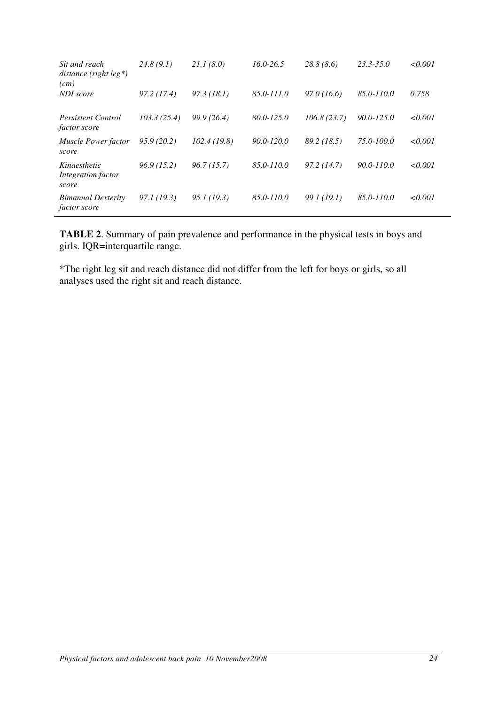| Sit and reach<br>distance (right $leg^*$ )<br>(cm) | 24.8(9.1)   | 21.1(8.0)   | $16.0 - 26.5$  | 28.8(8.6)   | $23.3 - 35.0$  | $\le 0.001$ |
|----------------------------------------------------|-------------|-------------|----------------|-------------|----------------|-------------|
| NDI score                                          | 97.2(17.4)  | 97.3(18.1)  | 85.0-111.0     | 97.0(16.6)  | 85.0-110.0     | 0.758       |
| <b>Persistent Control</b><br><i>factor score</i>   | 103.3(25.4) | 99.9 (26.4) | $80.0 - 125.0$ | 106.8(23.7) | $90.0 - 125.0$ | $\le 0.001$ |
| <b>Muscle Power factor</b><br>score                | 95.9(20.2)  | 102.4(19.8) | $90.0 - 120.0$ | 89.2 (18.5) | 75.0-100.0     | $\le 0.001$ |
| Kinaesthetic<br>Integration factor<br>score        | 96.9(15.2)  | 96.7(15.7)  | 85.0-110.0     | 97.2(14.7)  | 90.0-110.0     | < 0.001     |
| <b>Bimanual Dexterity</b><br><i>factor score</i>   | 97.1 (19.3) | 95.1(19.3)  | 85.0-110.0     | 99.1 (19.1) | 85.0-110.0     | $\le 0.001$ |

**TABLE 2**. Summary of pain prevalence and performance in the physical tests in boys and girls. IQR=interquartile range.

\*The right leg sit and reach distance did not differ from the left for boys or girls, so all analyses used the right sit and reach distance.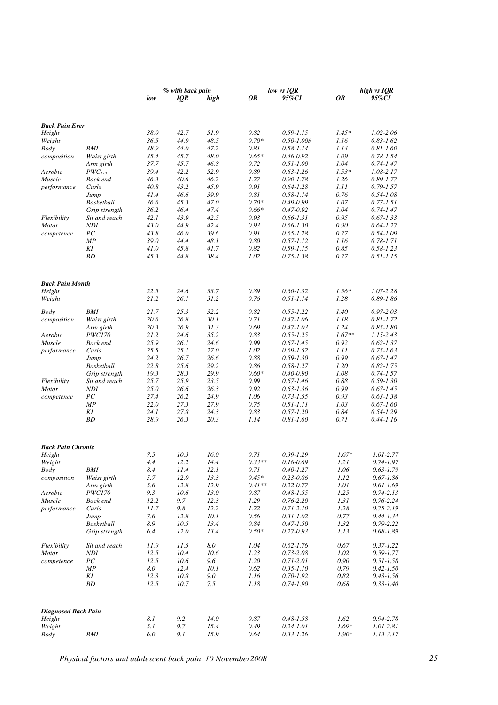|                            |               | low          | % with back pain<br>IQR | high         | <b>OR</b>    | low vs IQR<br>95%CI            | <b>OR</b>    | high vs IQR<br>95%CI           |
|----------------------------|---------------|--------------|-------------------------|--------------|--------------|--------------------------------|--------------|--------------------------------|
|                            |               |              |                         |              |              |                                |              |                                |
|                            |               |              |                         |              |              |                                |              |                                |
| <b>Back Pain Ever</b>      |               |              |                         |              |              |                                |              |                                |
| Height                     |               | 38.0         | 42.7                    | 51.9         | 0.82         | $0.59 - 1.15$                  | $1.45*$      | 1.02-2.06                      |
| Weight                     |               | 36.5         | 44.9                    | 48.5         | $0.70*$      | $0.50 - 1.00#$                 | 1.16         | $0.83 - 1.62$                  |
| Body                       | BMI           | 38.9         | 44.0                    | 47.2         | 0.81         | $0.58 - 1.14$                  | 1.14         | $0.81 - 1.60$                  |
| composition                | Waist girth   | 35.4         | 45.7                    | 48.0         | $0.65*$      | $0.46 - 0.92$                  | 1.09         | $0.78 - 1.54$                  |
|                            | Arm girth     | 37.7         | 45.7                    | 46.8         | 0.72         | $0.51 - 1.00$                  | 1.04         | $0.74 - 1.47$                  |
| Aerobic                    | $PWC_{170}$   | 39.4         | 42.2                    | 52.9         | 0.89         | $0.63 - 1.26$                  | $1.53*$      | $1.08 - 2.17$                  |
| Muscle                     | Back end      | 46.3         | 40.6                    | 46.2         | 1.27         | $0.90 - 1.78$                  | 1.26         | $0.89 - 1.77$                  |
| performance                | Curls         | 40.8         | 43.2                    | 45.9         | 0.91         | $0.64 - 1.28$                  | 1.11         | $0.79 - 1.57$                  |
|                            | Jump          | 41.4         | 46.6                    | 39.9         | 0.81         | $0.58 - 1.14$                  | 0.76         | $0.54 - 1.08$                  |
|                            | Basketball    | 36.6         | 45.3                    | 47.0         | $0.70*$      | $0.49 - 0.99$                  | 1.07         | $0.77 - 1.51$                  |
|                            | Grip strength | 36.2         | 46.4                    | 47.4         | $0.66*$      | $0.47 - 0.92$                  | 1.04         | $0.74 - 1.47$                  |
| Flexibility                | Sit and reach | 42.1         | 43.9                    | 42.5         | 0.93         | $0.66 - 1.31$                  | 0.95         | $0.67 - 1.33$                  |
| <b>Motor</b>               | <b>NDI</b>    | 43.0         | 44.9                    | 42.4         | 0.93         | $0.66 - 1.30$                  | 0.90         | $0.64 - 1.27$                  |
| competence                 | ${\cal PC}$   | 43.8         | 46.0                    | 39.6         | 0.91         | $0.65 - 1.28$                  | 0.77         | $0.54 - 1.09$                  |
|                            | МP            | 39.0         | 44.4                    | 48.1         | $0.80\,$     | $0.57 - 1.12$                  | 1.16         | $0.78 - 1.71$                  |
|                            | KΙ            | 41.0         | 45.8                    | 41.7         | 0.82         | $0.59 - 1.15$                  | 0.85         | $0.58 - 1.23$                  |
|                            | BD            | 45.3         | 44.8                    | 38.4         | 1.02         | $0.75 - 1.38$                  | 0.77         | $0.51 - 1.15$                  |
|                            |               |              |                         |              |              |                                |              |                                |
|                            |               |              |                         |              |              |                                |              |                                |
| <b>Back Pain Month</b>     |               |              |                         |              |              |                                |              |                                |
| Height                     |               | 22.5         | 24.6                    | 33.7         | 0.89         | $0.60 - 1.32$                  | $1.56*$      | $1.07 - 2.28$                  |
| Weight                     |               | 21.2         | 26.1                    | 31.2         | 0.76         | $0.51 - 1.14$                  | 1.28         | $0.89 - 1.86$                  |
|                            |               |              |                         |              |              |                                |              |                                |
| Body                       | BMI           | 21.7         | 25.3                    | 32.2         | 0.82         | $0.55 - 1.22$                  | 1.40         | $0.97 - 2.03$                  |
| composition                | Waist girth   | 20.6         | 26.8                    | 30.1         | 0.71         | $0.47 - 1.06$                  | 1.18         | $0.81 - 1.72$                  |
|                            | Arm girth     | 20.3         | 26.9                    | 31.3         | 0.69         | $0.47 - 1.03$                  | 1.24         | $0.85 - 1.80$                  |
| Aerobic                    | <b>PWC170</b> | 21.2         | 24.6                    | 35.2         | 0.83         | $0.55 - 1.25$                  | $1.67**$     | $1.15 - 2.43$                  |
| Muscle                     | Back end      | 25.9         | 26.1                    | 24.6         | 0.99         | $0.67 - 1.45$                  | 0.92         | $0.62 - 1.37$                  |
| performance                | Curls         | 25.5         | 25.1                    | 27.0         | 1.02         | $0.69 - 1.52$                  | 1.11         | $0.75 - 1.63$                  |
|                            | Jump          | 24.2         | 26.7                    | 26.6         | 0.88         | $0.59 - 1.30$                  | 0.99         | $0.67 - 1.47$                  |
|                            | Basketball    | 22.8         | 25.6                    | 29.2         | 0.86         | $0.58 - 1.27$                  | 1.20         | $0.82 - 1.75$                  |
|                            | Grip strength | 19.3         | 28.3                    | 29.9         | $0.60*$      | $0.40 - 0.90$                  | 1.08         | $0.74 - 1.57$                  |
| Flexibility                | Sit and reach | 25.7<br>25.0 | 25.9<br>26.6            | 23.5<br>26.3 | 0.99<br>0.92 | $0.67 - 1.46$                  | 0.88<br>0.99 | $0.59 - 1.30$                  |
| <b>Motor</b>               | NDI           | 27.4         | 26.2                    | 24.9         | 1.06         | $0.63 - 1.36$<br>$0.73 - 1.55$ | 0.93         | $0.67 - 1.45$<br>$0.63 - 1.38$ |
| competence                 | РC<br>МP      | 22.0         | 27.3                    | 27.9         | 0.75         | $0.51 - 1.11$                  | 1.03         | $0.67 - 1.60$                  |
|                            | ΚI            | 24.1         | 27.8                    | 24.3         | 0.83         | $0.57 - 1.20$                  | 0.84         | $0.54 - 1.29$                  |
|                            | ВD            | 28.9         | 26.3                    | 20.3         | 1.14         | $0.81 - 1.60$                  | 0.71         | $0.44 - 1.16$                  |
|                            |               |              |                         |              |              |                                |              |                                |
|                            |               |              |                         |              |              |                                |              |                                |
|                            |               |              |                         |              |              |                                |              |                                |
| <b>Back Pain Chronic</b>   |               | 7.5          | 10.3                    | 16.0         | 0.71         | $0.39 - 1.29$                  | $1.67*$      | 1.01-2.77                      |
| Height<br>Weight           |               | 4.4          | 12.2                    | 14.4         | $0.33**$     | $0.16 - 0.69$                  | 1.21         | $0.74 - 1.97$                  |
| <b>Body</b>                | BMI           | 8.4          | 11.4                    | 12.1         | 0.71         | $0.40 - 1.27$                  | 1.06         | $0.63 - 1.79$                  |
| composition                | Waist girth   | 5.7          | 12.0                    | 13.3         | $0.45*$      | $0.23 - 0.86$                  | 1.12         | $0.67 - 1.86$                  |
|                            | Arm girth     | 5.6          | 12.8                    | 12.9         | $0.41**$     | $0.22 - 0.77$                  | 1.01         | $0.61 - 1.69$                  |
| Aerobic                    | <b>PWC170</b> | 9.3          | 10.6                    | 13.0         | 0.87         | $0.48 - 1.55$                  | 1.25         | $0.74 - 2.13$                  |
| Muscle                     | Back end      | 12.2         | 9.7                     | 12.3         | 1.29         | $0.76 - 2.20$                  | 1.31         | $0.76 - 2.24$                  |
| performance                | Curls         | 11.7         | 9.8                     | 12.2         | 1.22         | $0.71 - 2.10$                  | 1.28         | $0.75 - 2.19$                  |
|                            | Jump          | 7.6          | 12.8                    | 10.1         | 0.56         | $0.31 - 1.02$                  | 0.77         | $0.44 - 1.34$                  |
|                            | Basketball    | 8.9          | 10.5                    | 13.4         | 0.84         | $0.47 - 1.50$                  | 1.32         | $0.79 - 2.22$                  |
|                            | Grip strength | 6.4          | 12.0                    | 13.4         | $0.50*$      | $0.27 - 0.93$                  | 1.13         | $0.68 - 1.89$                  |
|                            |               |              |                         |              |              |                                |              |                                |
| Flexibility                | Sit and reach | 11.9         | 11.5                    | $8.0\,$      | 1.04         | $0.62 - 1.76$                  | 0.67         | $0.37 - 1.22$                  |
| <b>Motor</b>               | $\it NDI$     | 12.5         | 10.4                    | 10.6         | 1.23         | $0.73 - 2.08$                  | 1.02         | $0.59 - 1.77$                  |
| competence                 | ${\cal PC}$   | 12.5         | 10.6                    | 9.6          | 1.20         | $0.71 - 2.01$                  | 0.90         | $0.51 - 1.58$                  |
|                            | MP            | 8.0          | 12.4                    | 10.1         | 0.62         | $0.35 - 1.10$                  | 0.79         | $0.42 - 1.50$                  |
|                            | KI            | 12.3         | 10.8                    | 9.0          | 1.16         | $0.70 - 1.92$                  | 0.82         | $0.43 - 1.56$                  |
|                            | $\cal BD$     | 12.5         | 10.7                    | 7.5          | 1.18         | $0.74 - 1.90$                  | 0.68         | $0.33 - 1.40$                  |
|                            |               |              |                         |              |              |                                |              |                                |
|                            |               |              |                         |              |              |                                |              |                                |
| <b>Diagnosed Back Pain</b> |               |              |                         |              |              |                                |              |                                |
| Height                     |               | 8.1          | 9.2                     | 14.0         | 0.87         | $0.48 - 1.58$                  | 1.62         | $0.94 - 2.78$                  |
| Weight                     |               | 5.1          | 9.7                     | 15.4         | 0.49         | $0.24 - 1.01$                  | $1.69*$      | $1.01 - 2.81$                  |
| <b>Body</b>                | BMI           | $6.0\,$      | 9.1                     | 15.9         | 0.64         | $0.33 - 1.26$                  | $1.90*$      | 1.13-3.17                      |
|                            |               |              |                         |              |              |                                |              |                                |

*Physical factors and adolescent back pain 10 November2008 25*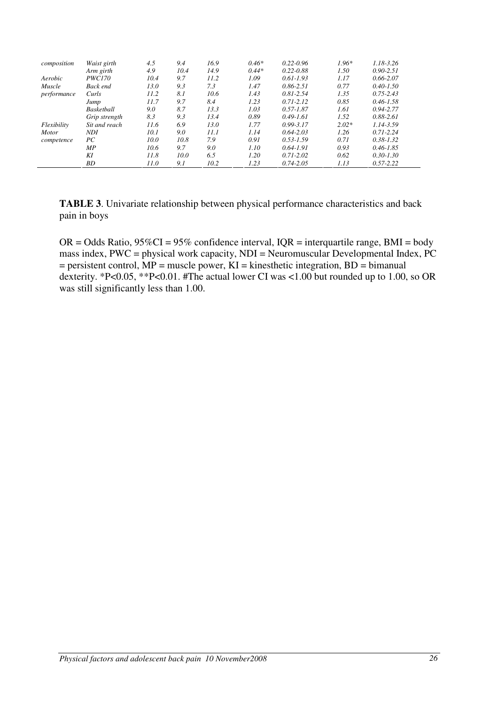| composition  | Waist girth     | 4.5  | 9.4  | 16.9 | $0.46*$ | $0.22 - 0.96$ | $1.96*$ | $1.18 - 3.26$ |
|--------------|-----------------|------|------|------|---------|---------------|---------|---------------|
|              | Arm girth       | 4.9  | 10.4 | 14.9 | $0.44*$ | $0.22 - 0.88$ | 1.50    | $0.90 - 2.51$ |
| Aerobic      | <i>PWC170</i>   | 10.4 | 9.7  | 11.2 | 1.09    | $0.61 - 1.93$ | 1.17    | $0.66 - 2.07$ |
| Muscle       | <b>Back end</b> | 13.0 | 9.3  | 7.3  | 1.47    | $0.86 - 2.51$ | 0.77    | $0.40 - 1.50$ |
| performance  | Curls           | 11.2 | 8.1  | 10.6 | 1.43    | $0.81 - 2.54$ | 1.35    | $0.75 - 2.43$ |
|              | Jump            | 11.7 | 9.7  | 8.4  | 1.23    | $0.71 - 2.12$ | 0.85    | $0.46 - 1.58$ |
|              | Basketball      | 9.0  | 8.7  | 13.3 | 1.03    | $0.57 - 1.87$ | 1.61    | $0.94 - 2.77$ |
|              | Grip strength   | 8.3  | 9.3  | 13.4 | 0.89    | $0.49 - 1.61$ | 1.52    | $0.88 - 2.61$ |
| Flexibility  | Sit and reach   | 11.6 | 6.9  | 13.0 | 1.77    | $0.99 - 3.17$ | $2.02*$ | 1.14-3.59     |
| <b>Motor</b> | <b>NDI</b>      | 10.1 | 9.0  | 11.1 | 1.14    | $0.64 - 2.03$ | 1.26    | $0.71 - 2.24$ |
| competence   | РC              | 10.0 | 10.8 | 7.9  | 0.91    | $0.53 - 1.59$ | 0.71    | $0.38 - 1.32$ |
|              | МP              | 10.6 | 9.7  | 9.0  | 1.10    | $0.64 - 1.91$ | 0.93    | $0.46 - 1.85$ |
|              | KI              | 11.8 | 10.0 | 6.5  | 1.20    | $0.71 - 2.02$ | 0.62    | $0.30 - 1.30$ |
|              | BD              | 11.0 | 9.1  | 10.2 | 1.23    | $0.74 - 2.05$ | 1.13    | $0.57 - 2.22$ |

**TABLE 3**. Univariate relationship between physical performance characteristics and back pain in boys

 $OR = Odds$  Ratio,  $95\%CI = 95\%$  confidence interval,  $IQR =$  interguartile range, BMI = body mass index, PWC = physical work capacity, NDI = Neuromuscular Developmental Index, PC  $=$  persistent control, MP = muscle power, KI = kinesthetic integration, BD = bimanual dexterity. \*P<0.05, \*\*P<0.01. #The actual lower CI was <1.00 but rounded up to 1.00, so OR was still significantly less than 1.00.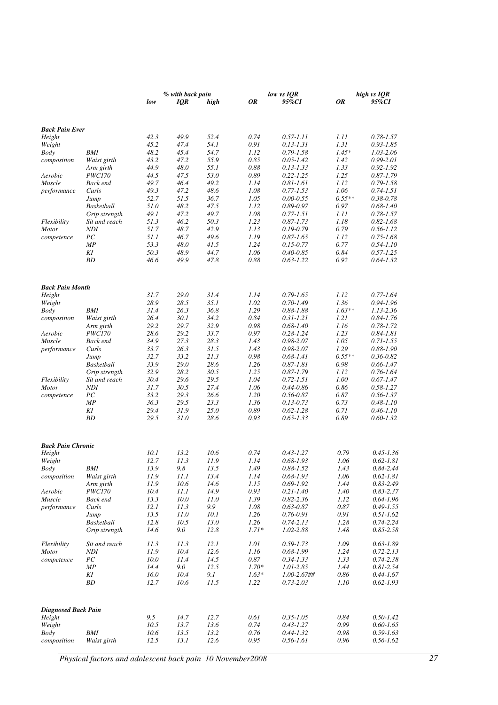|                                    |                 | low  | % with back pain<br>IQR | high | 0R      | low vs IQR<br>95%CI            | 0R       | high vs IQR<br>95%CI |
|------------------------------------|-----------------|------|-------------------------|------|---------|--------------------------------|----------|----------------------|
|                                    |                 |      |                         |      |         |                                |          |                      |
| <b>Back Pain Ever</b>              |                 |      |                         |      |         |                                |          |                      |
| Height                             |                 | 42.3 | 49.9                    | 52.4 | 0.74    | $0.57 - 1.11$                  | 1.11     | $0.78 - 1.57$        |
| Weight                             |                 | 45.2 | 47.4                    | 54.1 | 0.91    | $0.13 - 1.31$                  | 1.31     | $0.93 - 1.85$        |
| Body                               | BMI             | 48.2 | 45.4                    | 54.7 | 1.12    | $0.79 - 1.58$                  | $1.45*$  | 1.03-2.06            |
| composition                        | Waist girth     | 43.2 | 47.2                    | 55.9 | 0.85    | $0.05 - 1.42$                  | 1.42     | $0.99 - 2.01$        |
|                                    | Arm girth       | 44.9 | 48.0                    | 55.1 | 0.88    | $0.13 - 1.33$                  | 1.33     | $0.92 - 1.92$        |
| Aerobic                            | <b>PWC170</b>   | 44.5 | 47.5                    | 53.0 | 0.89    | $0.22 - 1.25$                  | 1.25     | $0.87 - 1.79$        |
| Muscle                             | <b>Back end</b> | 49.7 | 46.4                    | 49.2 | 1.14    | $0.81 - 1.61$                  | 1.12     | $0.79 - 1.58$        |
| performance                        | Curls           | 49.3 | 47.2                    | 48.6 | 1.08    | $0.77 - 1.53$                  | 1.06     | $0.74 - 1.51$        |
|                                    | Jump            | 52.7 | 51.5                    | 36.7 | 1.05    | $0.00 - 0.55$                  | $0.55**$ | $0.38 - 0.78$        |
|                                    | Basketball      | 51.0 | 48.2                    | 47.5 | 1.12    | $0.89 - 0.97$                  | 0.97     | $0.68 - 1.40$        |
|                                    | Grip strength   | 49.1 | 47.2                    | 49.7 | 1.08    | $0.77 - 1.51$                  | 1.11     | $0.78 - 1.57$        |
| Flexibility                        | Sit and reach   | 51.3 | 46.2                    | 50.3 | 1.23    | $0.87 - 1.73$                  | 1.18     | $0.82 - 1.68$        |
| <b>Motor</b>                       | <b>NDI</b>      | 51.7 | 48.7                    | 42.9 | 1.13    | $0.19 - 0.79$                  | 0.79     | $0.56 - 1.12$        |
| competence                         | ${\cal PC}$     | 51.1 | 46.7                    | 49.6 | 1.19    | $0.87 - 1.65$                  | 1.12     | $0.75 - 1.68$        |
|                                    | МP              | 53.3 | 48.0                    | 41.5 | 1.24    | $0.15 - 0.77$                  | 0.77     | $0.54 - 1.10$        |
|                                    | ΚI              | 50.3 | 48.9                    | 44.7 | 1.06    |                                | 0.84     | $0.57 - 1.25$        |
|                                    | ВD              | 46.6 | 49.9                    | 47.8 | 0.88    | $0.40 - 0.85$<br>$0.63 - 1.22$ | 0.92     | $0.64 - 1.32$        |
|                                    |                 |      |                         |      |         |                                |          |                      |
| <b>Back Pain Month</b>             |                 |      |                         |      |         |                                |          |                      |
|                                    |                 | 31.7 | 29.0                    | 31.4 | 1.14    | $0.79 - 1.65$                  | 1.12     | $0.77 - 1.64$        |
| Height                             |                 | 28.9 | 28.5                    | 35.1 | 1.02    | $0.70 - 1.49$                  | 1.36     | $0.94 - 1.96$        |
| Weight                             | <b>BMI</b>      | 31.4 | 26.3                    | 36.8 | 1.29    | $0.88 - 1.88$                  | $1.63**$ | 1.13-2.36            |
| Body                               |                 |      |                         |      |         |                                |          |                      |
| composition                        | Waist girth     | 26.4 | 30.1                    | 34.2 | 0.84    | $0.31 - 1.21$                  | 1.21     | $0.84 - 1.76$        |
|                                    | Arm girth       | 29.2 | 29.7                    | 32.9 | 0.98    | $0.68 - 1.40$                  | 1.16     | $0.78 - 1.72$        |
| Aerobic                            | <b>PWC170</b>   | 28.6 | 29.2                    | 33.7 | 0.97    | $0.28 - 1.24$                  | 1.23     | $0.84 - 1.81$        |
| Muscle                             | Back end        | 34.9 | 27.3                    | 28.3 | 1.43    | $0.98 - 2.07$                  | 1.05     | $0.71 - 1.55$        |
| performance                        | Curls           | 33.7 | 26.3                    | 31.5 | 1.43    | $0.98 - 2.07$                  | 1.29     | $0.88 - 1.90$        |
|                                    | Jump            | 32.7 | 33.2                    | 21.3 | 0.98    | $0.68 - 1.41$                  | $0.55**$ | $0.36 - 0.82$        |
|                                    | Basketball      | 33.9 | 29.0                    | 28.6 | 1.26    | $0.87 - 1.81$                  | 0.98     | $0.66 - 1.47$        |
|                                    | Grip strength   | 32.9 | 28.2                    | 30.5 | 1.25    | $0.87 - 1.79$                  | 1.12     | $0.76 - 1.64$        |
| Flexibility                        | Sit and reach   | 30.4 | 29.6                    | 29.5 | 1.04    | $0.72 - 1.51$                  | 1.00     | $0.67 - 1.47$        |
| <b>Motor</b>                       | NDI             | 31.7 | 30.5                    | 27.4 | 1.06    | $0.44 - 0.86$                  | 0.86     | $0.58 - 1.27$        |
| competence                         | ${\cal PC}$     | 33.2 | 29.3                    | 26.6 | 1.20    | $0.56 - 0.87$                  | 0.87     | $0.56 - 1.37$        |
|                                    | МP              | 36.3 | 29.5                    | 23.3 | 1.36    | $0.13 - 0.73$                  | 0.73     | $0.48 - 1.10$        |
|                                    | ΚI              | 29.4 | 31.9                    | 25.0 | 0.89    | $0.62 - 1.28$                  | 0.71     | $0.46 - 1.10$        |
|                                    | ВD              | 29.5 | 31.0                    | 28.6 | 0.93    | $0.65 - 1.33$                  | 0.89     | $0.60 - 1.32$        |
|                                    |                 |      |                         |      |         |                                |          |                      |
| <b>Back Pain Chronic</b><br>Height |                 | 10.1 | 13.2                    | 10.6 | 0.74    | $0.43 - 1.27$                  | 0.79     | $0.45 - 1.36$        |
| Weight                             |                 | 12.7 | 11.3                    | 11.9 | 1.14    | $0.68 - 1.93$                  | 1.06     | $0.62 - 1.81$        |
| Body                               | BMI             | 13.9 | 9.8                     | 13.5 | 1.49    | $0.88 - 1.52$                  | 1.43     | 0.84-2.44            |
| composition                        | Waist girth     | 11.9 | 11.1                    | 13.4 | 1.14    | $0.68 - 1.93$                  | 1.06     | $0.62 - 1.81$        |
|                                    | Arm girth       | 11.9 | 10.6                    | 14.6 | 1.15    | $0.69 - 1.92$                  | 1.44     | $0.83 - 2.49$        |
| Aerobic                            | <i>PWC170</i>   | 10.4 | 11.1                    | 14.9 | 0.93    | $0.21 - 1.40$                  | 1.40     | $0.83 - 2.37$        |
| Muscle                             | Back end        | 13.3 | 10.0                    | 11.0 | 1.39    | $0.82 - 2.36$                  | 1.12     | $0.64 - 1.96$        |
| performance                        | Curls           | 12.1 | 11.3                    | 9.9  | 1.08    | $0.63 - 0.87$                  | 0.87     | $0.49 - 1.55$        |
|                                    | Jump            | 13.5 | 11.0                    | 10.1 | 1.26    | $0.76 - 0.91$                  | 0.91     | $0.51 - 1.62$        |
|                                    |                 |      |                         |      |         |                                |          |                      |
|                                    | Basketball      | 12.8 | 10.5                    | 13.0 | 1.26    | $0.74 - 2.13$                  | 1.28     | $0.74 - 2.24$        |
|                                    | Grip strength   | 14.6 | 9.0                     | 12.8 | $1.71*$ | 1.02-2.88                      | 1.48     | $0.85 - 2.58$        |
| Flexibility                        | Sit and reach   | 11.3 | 11.3                    | 12.1 | 1.01    | $0.59 - 1.73$                  | 1.09     | $0.63 - 1.89$        |
| <b>Motor</b>                       | NDI             | 11.9 | 10.4                    | 12.6 | 1.16    | $0.68 - 1.99$                  | 1.24     | $0.72 - 2.13$        |
| competence                         | ${\cal PC}$     | 10.0 | 11.4                    | 14.5 | 0.87    | $0.34 - 1.33$                  | 1.33     | $0.74 - 2.38$        |
|                                    | MP              | 14.4 | 9.0                     | 12.5 | $1.70*$ | 1.01-2.85                      | 1.44     | $0.81 - 2.54$        |
|                                    | KI              | 16.0 | 10.4                    | 9.1  | $1.63*$ | $1.00 - 2.67$ ##               | 0.86     | $0.44 - 1.67$        |
|                                    | ВD              | 12.7 | 10.6                    | 11.5 | 1.22    | $0.73 - 2.03$                  | 1.10     | $0.62 - 1.93$        |
|                                    |                 |      |                         |      |         |                                |          |                      |
| <b>Diagnosed Back Pain</b>         |                 |      |                         |      |         |                                |          |                      |
| Height                             |                 | 9.5  | 14.7                    | 12.7 | 0.61    | $0.35 - 1.05$                  | 0.84     | $0.50 - 1.42$        |
| Weight                             |                 | 10.5 | 13.7                    | 13.6 | 0.74    | $0.43 - 1.27$                  | 0.99     | $0.60 - 1.65$        |
| Body                               | BMI             | 10.6 | 13.5                    | 13.2 | 0.76    | $0.44 - 1.32$                  | 0.98     | $0.59 - 1.63$        |
| composition                        | Waist girth     | 12.5 | 13.1                    | 12.6 | 0.95    | $0.56 - 1.61$                  | 0.96     | $0.56 - 1.62$        |

*Physical factors and adolescent back pain 10 November2008 27*